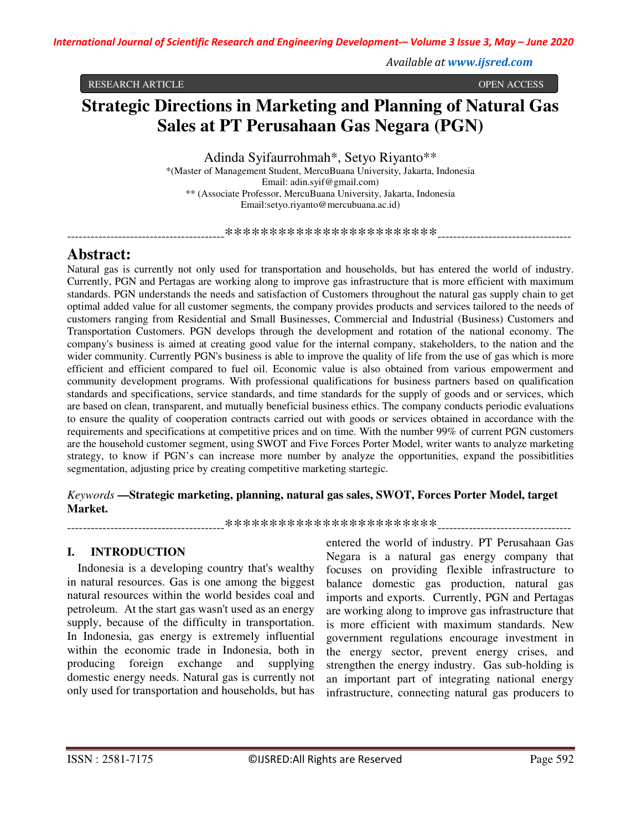*Available at www.ijsred.com*

RESEARCH ARTICLE OPEN ACCESS

# **Strategic Directions in Marketing and Planning of Natural Gas Sales at PT Perusahaan Gas Negara (PGN)**

Adinda Syifaurrohmah\*, Setyo Riyanto\*\*

\*(Master of Management Student, MercuBuana University, Jakarta, Indonesia Email: adin.syif@gmail.com) \*\* (Associate Professor, MercuBuana University, Jakarta, Indonesia Email:setyo.riyanto@mercubuana.ac.id)

----------------------------------------\*\*\*\*\*\*\*\*\*\*\*\*\*\*\*\*\*\*\*\*\*\*\*\*----------------------------------

# **Abstract:**

Natural gas is currently not only used for transportation and households, but has entered the world of industry. Currently, PGN and Pertagas are working along to improve gas infrastructure that is more efficient with maximum standards. PGN understands the needs and satisfaction of Customers throughout the natural gas supply chain to get optimal added value for all customer segments, the company provides products and services tailored to the needs of customers ranging from Residential and Small Businesses, Commercial and Industrial (Business) Customers and Transportation Customers. PGN develops through the development and rotation of the national economy. The company's business is aimed at creating good value for the internal company, stakeholders, to the nation and the wider community. Currently PGN's business is able to improve the quality of life from the use of gas which is more efficient and efficient compared to fuel oil. Economic value is also obtained from various empowerment and community development programs. With professional qualifications for business partners based on qualification standards and specifications, service standards, and time standards for the supply of goods and or services, which are based on clean, transparent, and mutually beneficial business ethics. The company conducts periodic evaluations to ensure the quality of cooperation contracts carried out with goods or services obtained in accordance with the requirements and specifications at competitive prices and on time. With the number 99% of current PGN customers are the household customer segment, using SWOT and Five Forces Porter Model, writer wants to analyze marketing strategy, to know if PGN's can increase more number by analyze the opportunities, expand the possibitlities segmentation, adjusting price by creating competitive marketing startegic.

### *Keywords* **—Strategic marketing, planning, natural gas sales, SWOT, Forces Porter Model, target Market.**

----------------------------------------\*\*\*\*\*\*\*\*\*\*\*\*\*\*\*\*\*\*\*\*\*\*\*\*----------------------------------

## **I. INTRODUCTION**

Indonesia is a developing country that's wealthy in natural resources. Gas is one among the biggest natural resources within the world besides coal and petroleum. At the start gas wasn't used as an energy supply, because of the difficulty in transportation. In Indonesia, gas energy is extremely influential within the economic trade in Indonesia, both in producing foreign exchange and supplying domestic energy needs. Natural gas is currently not only used for transportation and households, but has

entered the world of industry. PT Perusahaan Gas Negara is a natural gas energy company that focuses on providing flexible infrastructure to balance domestic gas production, natural gas imports and exports. Currently, PGN and Pertagas are working along to improve gas infrastructure that is more efficient with maximum standards. New government regulations encourage investment in the energy sector, prevent energy crises, and strengthen the energy industry. Gas sub-holding is an important part of integrating national energy infrastructure, connecting natural gas producers to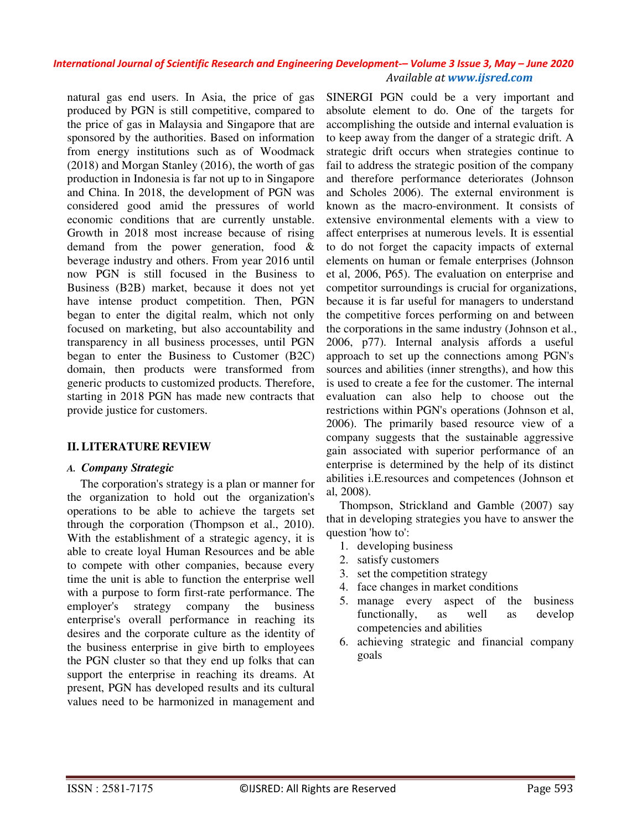natural gas end users. In Asia, the price of gas produced by PGN is still competitive, compared to the price of gas in Malaysia and Singapore that are sponsored by the authorities. Based on information from energy institutions such as of Woodmack (2018) and Morgan Stanley (2016), the worth of gas production in Indonesia is far not up to in Singapore and China. In 2018, the development of PGN was considered good amid the pressures of world economic conditions that are currently unstable. Growth in 2018 most increase because of rising demand from the power generation, food & beverage industry and others. From year 2016 until now PGN is still focused in the Business to Business (B2B) market, because it does not yet have intense product competition. Then, PGN began to enter the digital realm, which not only focused on marketing, but also accountability and transparency in all business processes, until PGN began to enter the Business to Customer (B2C) domain, then products were transformed from generic products to customized products. Therefore, starting in 2018 PGN has made new contracts that provide justice for customers.

### **II. LITERATURE REVIEW**

### *A. Company Strategic*

The corporation's strategy is a plan or manner for the organization to hold out the organization's operations to be able to achieve the targets set through the corporation (Thompson et al., 2010). With the establishment of a strategic agency, it is able to create loyal Human Resources and be able to compete with other companies, because every time the unit is able to function the enterprise well with a purpose to form first-rate performance. The employer's strategy company the business enterprise's overall performance in reaching its desires and the corporate culture as the identity of the business enterprise in give birth to employees the PGN cluster so that they end up folks that can support the enterprise in reaching its dreams. At present, PGN has developed results and its cultural values need to be harmonized in management and

SINERGI PGN could be a very important and absolute element to do. One of the targets for accomplishing the outside and internal evaluation is to keep away from the danger of a strategic drift. A strategic drift occurs when strategies continue to fail to address the strategic position of the company and therefore performance deteriorates (Johnson and Scholes 2006). The external environment is known as the macro-environment. It consists of extensive environmental elements with a view to affect enterprises at numerous levels. It is essential to do not forget the capacity impacts of external elements on human or female enterprises (Johnson et al, 2006, P65). The evaluation on enterprise and competitor surroundings is crucial for organizations, because it is far useful for managers to understand the competitive forces performing on and between the corporations in the same industry (Johnson et al., 2006, p77). Internal analysis affords a useful approach to set up the connections among PGN's sources and abilities (inner strengths), and how this is used to create a fee for the customer. The internal evaluation can also help to choose out the restrictions within PGN's operations (Johnson et al, 2006). The primarily based resource view of a company suggests that the sustainable aggressive gain associated with superior performance of an enterprise is determined by the help of its distinct abilities i.E.resources and competences (Johnson et al, 2008).

Thompson, Strickland and Gamble (2007) say that in developing strategies you have to answer the question 'how to':

- 1. developing business
- 2. satisfy customers
- 3. set the competition strategy
- 4. face changes in market conditions
- 5. manage every aspect of the business functionally, as well as develop competencies and abilities
- 6. achieving strategic and financial company goals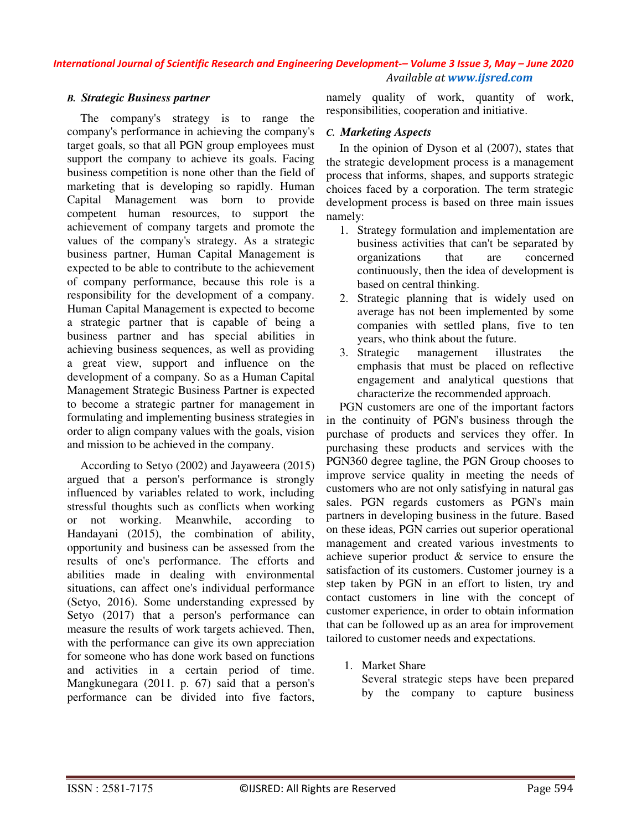### *B. Strategic Business partner*

The company's strategy is to range the company's performance in achieving the company's target goals, so that all PGN group employees must support the company to achieve its goals. Facing business competition is none other than the field of marketing that is developing so rapidly. Human Capital Management was born to provide competent human resources, to support the achievement of company targets and promote the values of the company's strategy. As a strategic business partner, Human Capital Management is expected to be able to contribute to the achievement of company performance, because this role is a responsibility for the development of a company. Human Capital Management is expected to become a strategic partner that is capable of being a business partner and has special abilities in achieving business sequences, as well as providing a great view, support and influence on the development of a company. So as a Human Capital Management Strategic Business Partner is expected to become a strategic partner for management in formulating and implementing business strategies in order to align company values with the goals, vision and mission to be achieved in the company.

According to Setyo (2002) and Jayaweera (2015) argued that a person's performance is strongly influenced by variables related to work, including stressful thoughts such as conflicts when working or not working. Meanwhile, according to Handayani (2015), the combination of ability, opportunity and business can be assessed from the results of one's performance. The efforts and abilities made in dealing with environmental situations, can affect one's individual performance (Setyo, 2016). Some understanding expressed by Setyo (2017) that a person's performance can measure the results of work targets achieved. Then, with the performance can give its own appreciation for someone who has done work based on functions and activities in a certain period of time. Mangkunegara (2011. p. 67) said that a person's performance can be divided into five factors,

namely quality of work, quantity of work, responsibilities, cooperation and initiative.

### *C. Marketing Aspects*

In the opinion of Dyson et al (2007), states that the strategic development process is a management process that informs, shapes, and supports strategic choices faced by a corporation. The term strategic development process is based on three main issues namely:

- 1. Strategy formulation and implementation are business activities that can't be separated by organizations that are concerned continuously, then the idea of development is based on central thinking.
- 2. Strategic planning that is widely used on average has not been implemented by some companies with settled plans, five to ten years, who think about the future.
- 3. Strategic management illustrates the emphasis that must be placed on reflective engagement and analytical questions that characterize the recommended approach.

PGN customers are one of the important factors in the continuity of PGN's business through the purchase of products and services they offer. In purchasing these products and services with the PGN360 degree tagline, the PGN Group chooses to improve service quality in meeting the needs of customers who are not only satisfying in natural gas sales. PGN regards customers as PGN's main partners in developing business in the future. Based on these ideas, PGN carries out superior operational management and created various investments to achieve superior product & service to ensure the satisfaction of its customers. Customer journey is a step taken by PGN in an effort to listen, try and contact customers in line with the concept of customer experience, in order to obtain information that can be followed up as an area for improvement tailored to customer needs and expectations.

1. Market Share

Several strategic steps have been prepared by the company to capture business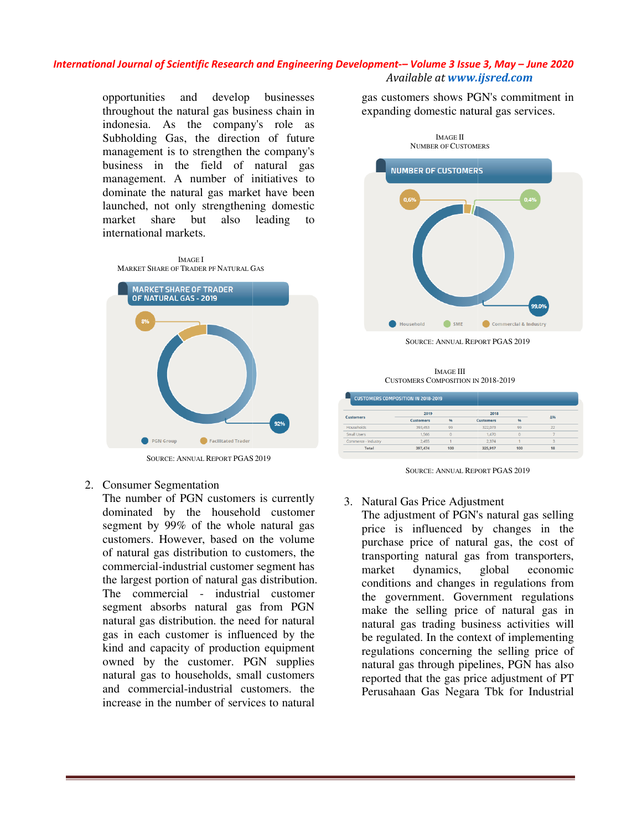opportunities and develop businesses throughout the natural gas business chain in indonesia. As the company's role as Subholding Gas, the direction of future management is to strengthen the company's business in the field of natural gas management. A number of initiatives to dominate the natural gas market have been launched, not only strengthening domes market share but also leading to international markets. and develop businesses<br>
e natural gas business chain in<br>
s the company's role as<br>
das, the direction of future<br>
s to strengthen the company's<br>
the field of natural gas<br>
A number of initiatives to<br>
natural gas market have b



SOURCE: ANNUAL REPORT PGAS PGAS 2019

### 2. Consumer Segmentation

The number of PGN customers is currently dominated by the household customer segment by 99% of the whole natural gas customers. However, based on the volume of natural gas distribution to customers, the commercial-industrial customer segment has the largest portion of natural gas distribution. The commercial - industrial customer segment absorbs natural gas from PGN natural gas distribution. the need for natural gas in each customer is influenced by the kind and capacity of production equipment owned by the customer. PGN supplies natural gas to households, small customers and commercial-industrial customers. the increase in the number of services to natural

expanding domestic natural gas services.



SOURCE: ANNUAL REPORT PGAS 2019

IMAGE III CUSTOMERS COMPOSITION IN 2018-2019

| <b>Customers</b>    | 2019             |     | 2018             |       |    |
|---------------------|------------------|-----|------------------|-------|----|
|                     | <b>Customers</b> | 96  | <b>Customers</b> | $Q_0$ | Δ% |
| <b>Households</b>   | 393,453          | 99  | 322,073          | 99    | 22 |
| Small Users         | 1.566            |     | 1,470            |       |    |
| Commerce - Industry | 2.455            |     | 2.374            |       |    |
| <b>Total</b>        | 397.474          | 100 | 325.917          | 100   | 18 |

SOURCE: ANNUAL REPORT PGAS 2019

### 3. Natural Gas Price Adjustment

The adjustment of PGN's natural gas selling price is influenced by changes in the purchase price of natural gas, the cost of transporting natural gas from transporters, market dynamics, global economic conditions and changes in regulations from the government. Government regulations make the selling price of natural gas in natural gas trading business activities will be regulated. In the context of implementing regulations concerning the selling price of natural gas through pipelines, PGN has also reported that the gas price adjustment of PT Perusahaan Gas Negara Tbk for Industrial price is influenced by changes in the<br>purchase price of natural gas, the cost of<br>transporting natural gas from transporters,<br>market dynamics, global economic<br>conditions and changes in regulations from<br>the government. Gover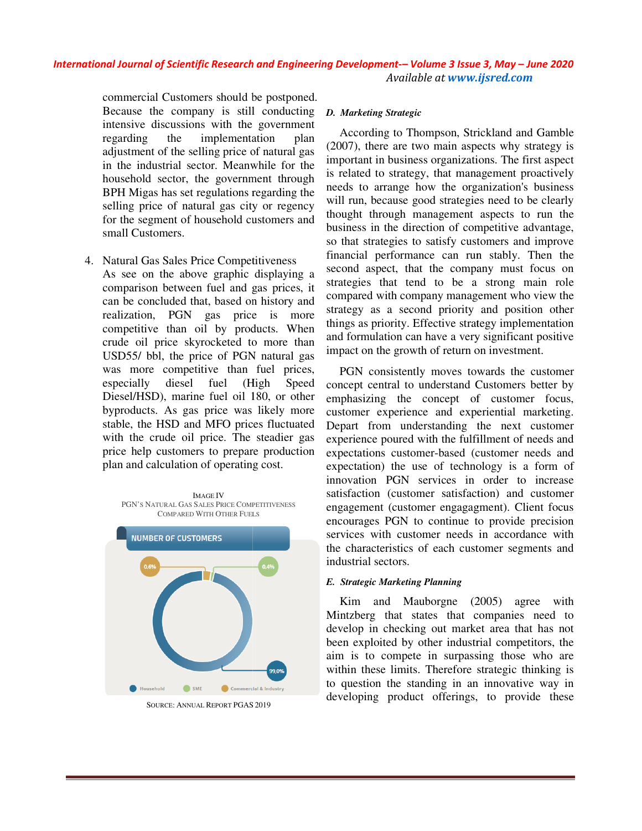commercial Customers should be postponed. Because the company is still conducting intensive discussions with the government regarding the implementation plan adjustment of the selling price of natural gas in the industrial sector. Meanwhile for the household sector, the government through BPH Migas has set regulations regarding the selling price of natural gas city or regency for the segment of household customers and small Customers.

- 4. Natural Gas Sales Price Competitiveness
- As see on the above graphic displaying a comparison between fuel and gas prices, it can be concluded that, based on history and realization, PGN gas price is more competitive than oil by products. When crude oil price skyrocketed to more than USD55/ bbl, the price of PGN natural gas was more competitive than fuel prices, especially diesel fuel (High Speed Diesel/HSD), marine fuel oil 180, or other byproducts. As gas price was likely more stable, the HSD and MFO prices fluctuated with the crude oil price. The steadier gas price help customers to prepare production plan and calculation of operating cost. nt of the selling price of natural gas<br>dustrial sector. Meanwhile for the<br>d sector, the government through<br>gas has set regulations regarding the<br>rice of natural gas city or regency<br>ggment of household customers and<br>stomers



SOURCE: ANNUAL REPORT PGAS PGAS 2019

#### *D. Marketing Strategic*

According to Thompson, Strickland and Gamble (2007), there are two main aspects why strategy is important in business organizations. The first aspect According to Thompson, Strickland and Gamble (2007), there are two main aspects why strategy is important in business organizations. The first aspect is related to strategy, that management proactively needs to arrange how the organization's business will run, because good strategies need to be clearly thought through management aspects to run the business in the direction of competitive advantage, so that strategies to satisfy customers and improve meeds to arrange how the organization's business<br>will run, because good strategies need to be clearly<br>thought through management aspects to run the<br>business in the direction of competitive advantage,<br>so that strategies to second aspect, that the company must focus on strategies that tend to be a strong main role compared with company management who view the strategy as a second priority and position other things as priority. Effective strategy implementation and formulation can have a very significant positive impact on the growth of return on investment.

PGN consistently moves towards the customer concept central to understand Customers better by emphasizing the concept of customer focus, customer experience and experiential marketing. Depart from understanding the next customer experience poured with the fulfillment of needs and expectations customer-based (customer needs and expectation) the use of technology is a form of innovation PGN services in order to satisfaction (customer satisfaction) and customer engagement (customer engagagment). Client focus encourages PGN to continue to provide precision services with customer needs in accordance with the characteristics of each customer segments and industrial sectors. second aspect, that the company must focus on strategies that tend to be a strong main role compared with company management who view the strategy as a second priority and position other things as priority. Effective strat satisfaction (customer satisfaction) and customer<br>engagement (customer engagagment). Client focus<br>encourages PGN to continue to provide precision<br>services with customer needs in accordance with<br>the characteristics of each

#### *E. Strategic Marketing Planning*

Kim and Mauborgne (2005) agree with Mintzberg that states that companies need to develop in checking out market area that has not been exploited by other industrial competitors, the aim is to compete in surpassing those who are within these limits. Therefore strategic thinking is to question the standing in an innovative way in question the developing product offerings, to provide these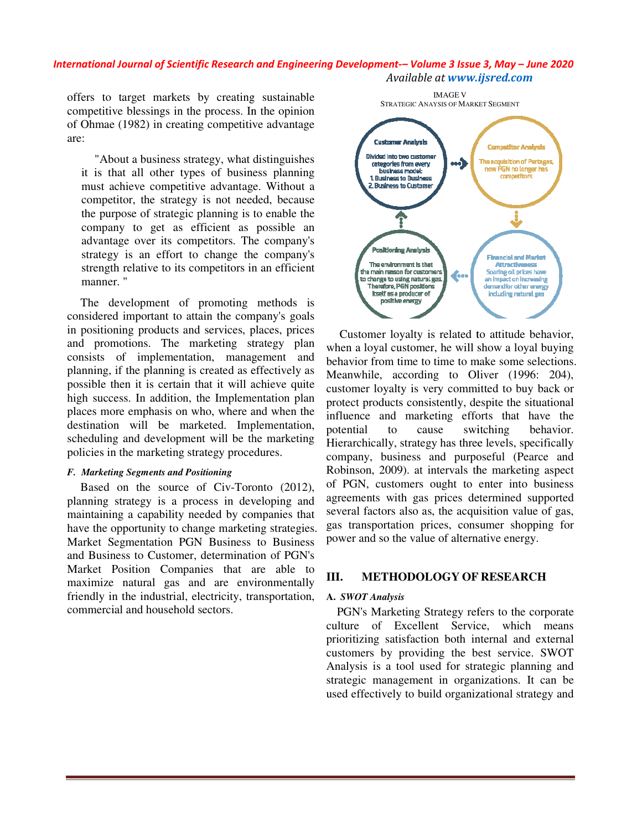offers to target markets by creating sustainable competitive blessings in the process. In the opinion of Ohmae (1982) in creating competitive advantage are:

"About a business strategy, what distinguishes it is that all other types of business planning must achieve competitive advantage. Without a competitor, the strategy is not needed, because the purpose of strategic planning is to enable the company to get as efficient as possible an advantage over its competitors. The company's strategy is an effort to change the company's strength relative to its competitors in an efficient manner. "

The development of promoting methods is considered important to attain the company's goals in positioning products and services, places, prices and promotions. The marketing strategy plan consists of implementation, management and planning, if the planning is created as effectively as possible then it is certain that it will achieve quite high success. In addition, the Implementation plan places more emphasis on who, where and when the destination will be marketed. Implementation, scheduling and development will be the marketing policies in the marketing strategy procedures. (1982) in creating competitive advantage<br>
ut a business strategy, what distinguishes<br>
at all other types of business planning<br>
hieve competitive advantage. Without a<br>
tor, the strategy is not needed, because<br>
ose of strate by the marketing surface the marketing surface the segmentation of the matrice of the Process. In the process in the opinion<br>
toronto a surface competitive advantage<br>
bout a business strategy, what distinguishes<br>
that all

#### *F. Marketing Segments and Positioning*

Based on the source of Civ-Toronto (2012), planning strategy is a process in developing and maintaining a capability needed by companies that have the opportunity to change marketing strategies. Market Segmentation PGN Business to Business and Business to Customer, determination of PGN's Market Position Companies that are able to maximize natural gas and are environmentally friendly in the industrial, electricity, transportation, commercial and household sectors.



Customer loyalty is related to attitude behavior, when a loyal customer, he will show a loyal buying behavior from time to time to make some selections. Meanwhile, according to Oliver (1996: 204), customer loyalty is very committed to buy back or protect products consistently, despite the situational influence and marketing efforts that have the potential to cause switching behavior. Hierarchically, strategy has three levels, specifically company, business and purposeful (Pearce and Robinson, 2009). at intervals the marketing aspect of PGN, customers ought to enter into business agreements with gas prices determined supported several factors also as, the acquisition value of gas, gas transportation prices, consumer shopping for power and so the value of alternative energy. Customer loyalty is related to attitude behavior,<br>when a loyal customer, he will show a loyal buying<br>behavior from time to time to make some selections. Meanwhile, according to Oliver (1996: 204), customer loyalty is very committed to buy back or protect products consistently, despite the situational influence and marketing efforts that have the potential to cause switchin

### **III.** METHODOLOGY OF RESEARCH

### **A.** *SWOT Analysis*

PGN's Marketing Strategy refers to the corporate culture of Excellent Service, which means culture of Excellent Service, which prioritizing satisfaction both internal and external customers by providing the best service. SWOT Analysis is a tool used for strategic planning and strategic management in organizations. It can be used effectively to build organizational strategy a g satisfaction both internal and external<br>by providing the best service. SWOT<br>is a tool used for strategic planning and<br>management in organizations. It can be<br>tively to build organizational strategy and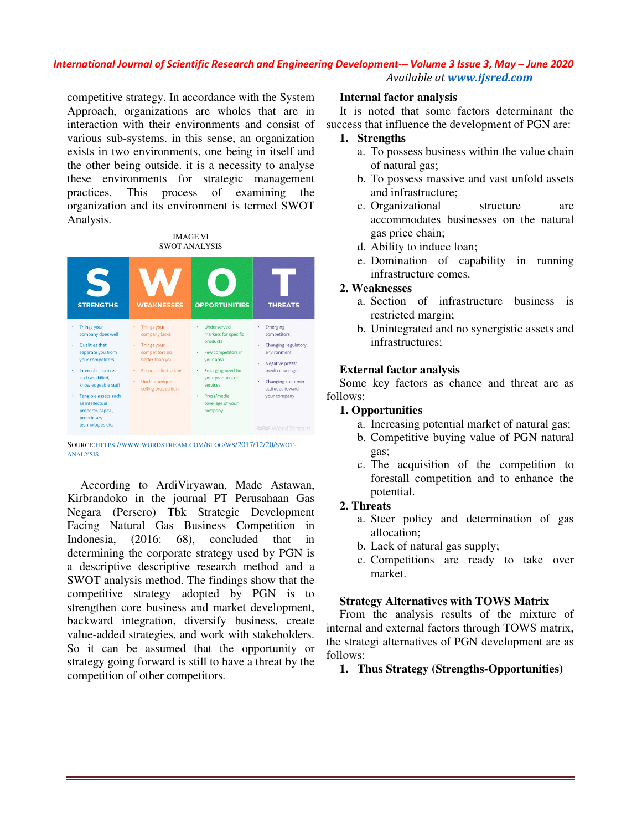competitive strategy. In accordance with the System Approach, organizations are wholes that are in interaction with their environments and consist of various sub-systems. in this sense, an organization exists in two environments, one being in itself and the other being outside. it is a necessity to analyse these environments for strategic management practices. This process of examining the organization and its environment is termed SWOT Analysis. ve strategy. In accordance with the System, organizations are wholes that are n with their environments and consist ub-systems. in this sense, an organizative environments, one being in itself a being outside. it is a nece

#### IMAGE VI SWOT ANALYSIS



SOURCE: HTTPS://WWW.WORDSTREAM.COM/BLOG/WS/2017/12/20/SWOT-ANALYSIS

According to ArdiViryawan, Made Astawan, Kirbrandoko in the journal PT Perusahaan Gas Negara (Persero) Tbk Strategic Development Facing Natural Gas Business Competition in Indonesia, (2016: 68), concluded that in determining the corporate strategy used by PGN is a descriptive descriptive research method and a SWOT analysis method. The findings show that the competitive strategy adopted by PGN is to strengthen core business and market development, backward integration, diversify business, create value-added strategies, and work with stakeholders. So it can be assumed that the opportunity or strategy going forward is still to have a threat by the competition of other competitors.

It is noted that some factors determinant the success that influence the development of PGN are:

### **1. Strengths**

- a. To possess business within the value chain of natural gas;
- b. To possess massive and vast unfold assets and infrastructure;
- c. Organizational structure are accommodates businesses on the natural gas price chain;
- d. Ability to induce loan;
- e. Domination of capability in running infrastructure comes.

### **2. Weaknesses**

- a. Section of infrastructure business is restricted margin;
- b. Unintegrated and no synergistic assets and infrastructures;

### **External factor analysis**

Some key factors as chance and threat are as follows:

### **1. Opportunities**

- a. Increasing potential market of natural gas;
- b. Competitive buying value of PGN natural gas;
- c. The acquisition of the competition to forestall competition and to enhance the potential.

### **2. Threats**

- a. Steer policy and determination of gas allocation;
- b. Lack of natural gas supply;
- c. Competitions are ready to take over market.

### **Strategy Alternatives with TOWS Matrix**

From the analysis results of the mixture of internal and external factors through TOWS matrix, the strategi alternatives of PGN development are as follows: is noted that some factors determinant the<br>
Sursement of PGN are:<br>
Sursement of external gas;<br>
a. To possess business within the value chain<br>
of natural gas;<br>
a. To possess massive and vast unfold assets<br>
and infrastructur

### **1. Thus Strategy (Strengths (Strengths-Opportunities)**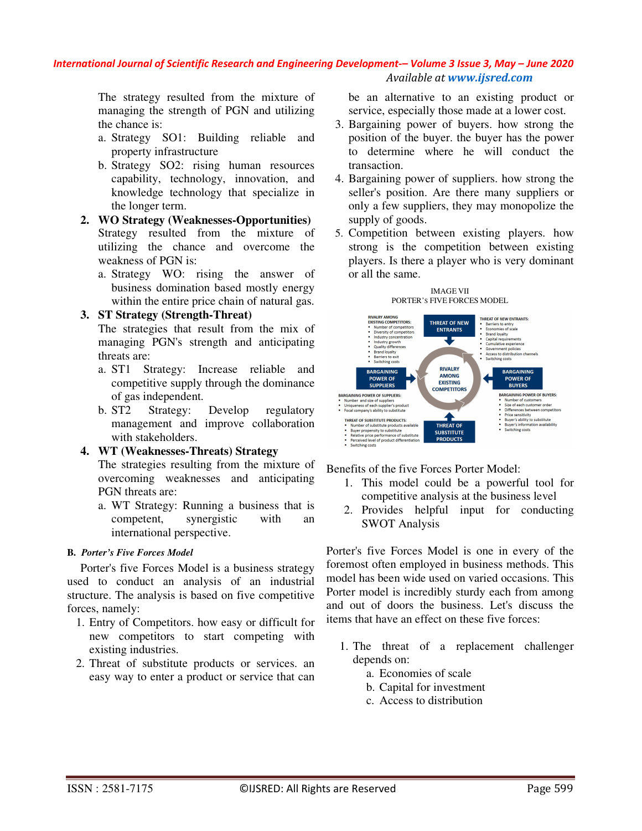The strategy resulted from the mixture of managing the strength of PGN and utilizing the chance is:

- a. Strategy SO1: Building reliable and property infrastructure
- b. Strategy SO2: rising human resources capability, technology, innovation, and knowledge technology that specialize in the longer term.
- **2. WO Strategy (Weaknesses-Opportunities)**  Strategy resulted from the mixture of utilizing the chance and overcome the weakness of PGN is:
	- a. Strategy WO: rising the answer of business domination based mostly energy within the entire price chain of natural gas.

### **3. ST Strategy (Strength-Threat)**

The strategies that result from the mix of managing PGN's strength and anticipating threats are:

- a. ST1 Strategy: Increase reliable and competitive supply through the dominance of gas independent.
- b. ST2 Strategy: Develop regulatory management and improve collaboration with stakeholders.

### **4. WT (Weaknesses-Threats) Strategy**

The strategies resulting from the mixture of overcoming weaknesses and anticipating PGN threats are:

a. WT Strategy: Running a business that is competent, synergistic with an international perspective.

### **B.** *Porter's Five Forces Model*

Porter's five Forces Model is a business strategy used to conduct an analysis of an industrial structure. The analysis is based on five competitive forces, namely:

- 1. Entry of Competitors. how easy or difficult for new competitors to start competing with existing industries.
- 2. Threat of substitute products or services. an easy way to enter a product or service that can

be an alternative to an existing product or service, especially those made at a lower cost.

- 3. Bargaining power of buyers. how strong the position of the buyer. the buyer has the power to determine where he will conduct the transaction.
- 4. Bargaining power of suppliers. how strong the seller's position. Are there many suppliers or only a few suppliers, they may monopolize the supply of goods.
- 5. Competition between existing players. how strong is the competition between existing players. Is there a player who is very dominant or all the same.





Benefits of the five Forces Porter Model:

- 1. This model could be a powerful tool for competitive analysis at the business level
- 2. Provides helpful input for conducting SWOT Analysis

Porter's five Forces Model is one in every of the foremost often employed in business methods. This model has been wide used on varied occasions. This Porter model is incredibly sturdy each from among and out of doors the business. Let's discuss the items that have an effect on these five forces:

- 1. The threat of a replacement challenger depends on:
	- a. Economies of scale
	- b. Capital for investment
	- c. Access to distribution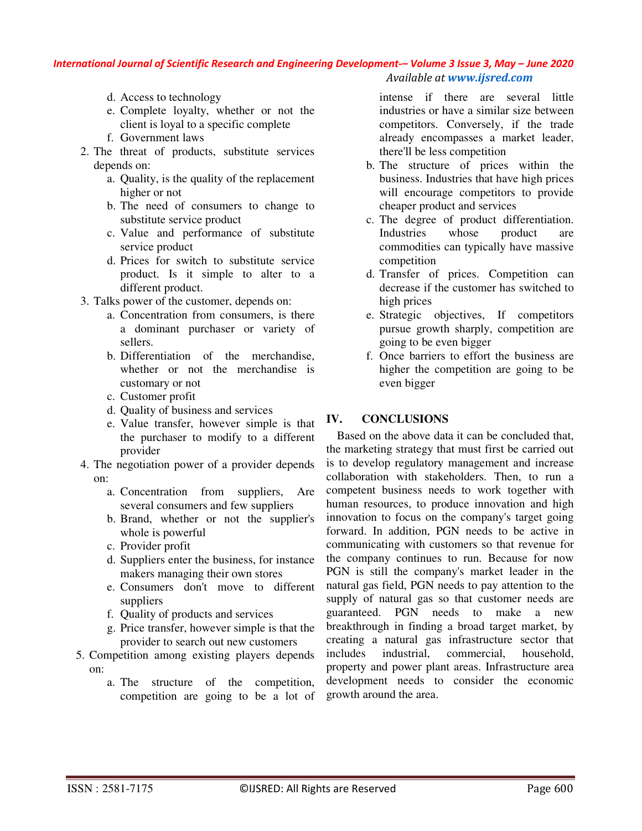- d. Access to technology
- e. Complete loyalty, whether or not the client is loyal to a specific complete
- f. Government laws
- 2. The threat of products, substitute services depends on:
	- a. Quality, is the quality of the replacement higher or not
	- b. The need of consumers to change to substitute service product
	- c. Value and performance of substitute service product
	- d. Prices for switch to substitute service product. Is it simple to alter to a different product.
- 3. Talks power of the customer, depends on:
	- a. Concentration from consumers, is there a dominant purchaser or variety of sellers.
	- b. Differentiation of the merchandise, whether or not the merchandise is customary or not
	- c. Customer profit
	- d. Quality of business and services
	- e. Value transfer, however simple is that the purchaser to modify to a different provider
- 4. The negotiation power of a provider depends on:
	- a. Concentration from suppliers, Are several consumers and few suppliers
	- b. Brand, whether or not the supplier's whole is powerful
	- c. Provider profit
	- d. Suppliers enter the business, for instance makers managing their own stores
	- e. Consumers don't move to different suppliers
	- f. Quality of products and services
	- g. Price transfer, however simple is that the provider to search out new customers
- 5. Competition among existing players depends on:
	- a. The structure of the competition, competition are going to be a lot of

intense if there are several little industries or have a similar size between competitors. Conversely, if the trade already encompasses a market leader, there'll be less competition

- b. The structure of prices within the business. Industries that have high prices will encourage competitors to provide cheaper product and services
- c. The degree of product differentiation. Industries whose product are commodities can typically have massive competition
- d. Transfer of prices. Competition can decrease if the customer has switched to high prices
- e. Strategic objectives, If competitors pursue growth sharply, competition are going to be even bigger
- f. Once barriers to effort the business are higher the competition are going to be even bigger

### **IV. CONCLUSIONS**

Based on the above data it can be concluded that, the marketing strategy that must first be carried out is to develop regulatory management and increase collaboration with stakeholders. Then, to run a competent business needs to work together with human resources, to produce innovation and high innovation to focus on the company's target going forward. In addition, PGN needs to be active in communicating with customers so that revenue for the company continues to run. Because for now PGN is still the company's market leader in the natural gas field, PGN needs to pay attention to the supply of natural gas so that customer needs are guaranteed. PGN needs to make a new breakthrough in finding a broad target market, by creating a natural gas infrastructure sector that includes industrial, commercial, household, property and power plant areas. Infrastructure area development needs to consider the economic growth around the area.